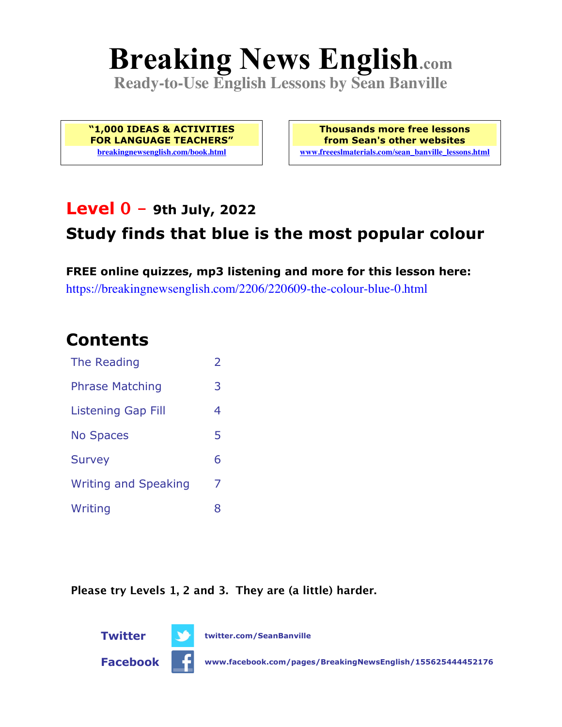# **Breaking News English.com**

**Ready-to-Use English Lessons by Sean Banville**

**"1,000 IDEAS & ACTIVITIES FOR LANGUAGE TEACHERS" breakingnewsenglish.com/book.html**

**Thousands more free lessons from Sean's other websites www.freeeslmaterials.com/sean\_banville\_lessons.html**

### **Level 0 - 9th July, 2022**

### **Study finds that blue is the most popular colour**

**FREE online quizzes, mp3 listening and more for this lesson here:** https://breakingnewsenglish.com/2206/220609-the-colour-blue-0.html

### **Contents**

| The Reading                 | $\overline{\phantom{a}}$ |
|-----------------------------|--------------------------|
| <b>Phrase Matching</b>      |                          |
| Listening Gap Fill          | 4                        |
| <b>No Spaces</b>            | 5                        |
| <b>Survey</b>               | 6                        |
| <b>Writing and Speaking</b> | 7                        |
| Writing                     | 8                        |

**Please try Levels 1, 2 and 3. They are (a little) harder.**





**Facebook www.facebook.com/pages/BreakingNewsEnglish/155625444452176**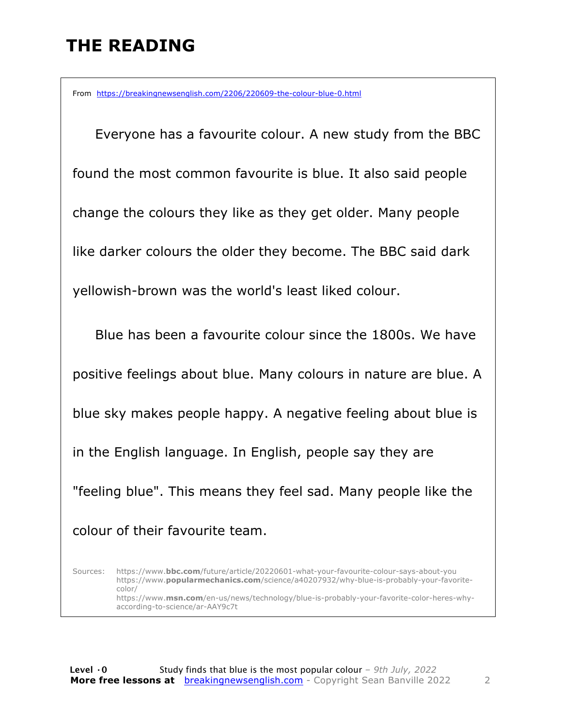# **THE READING**

From https://breakingnewsenglish.com/2206/220609-the-colour-blue-0.html

 Everyone has a favourite colour. A new study from the BBC found the most common favourite is blue. It also said people change the colours they like as they get older. Many people like darker colours the older they become. The BBC said dark yellowish-brown was the world's least liked colour.

Blue has been a favourite colour since the 1800s. We have positive feelings about blue. Many colours in nature are blue. A blue sky makes people happy. A negative feeling about blue is in the English language. In English, people say they are "feeling blue". This means they feel sad. Many people like the colour of their favourite team.

Sources: https://www.**bbc.com**/future/article/20220601-what-your-favourite-colour-says-about-you https://www.**popularmechanics.com**/science/a40207932/why-blue-is-probably-your-favoritecolor/ https://www.**msn.com**/en-us/news/technology/blue-is-probably-your-favorite-color-heres-whyaccording-to-science/ar-AAY9c7t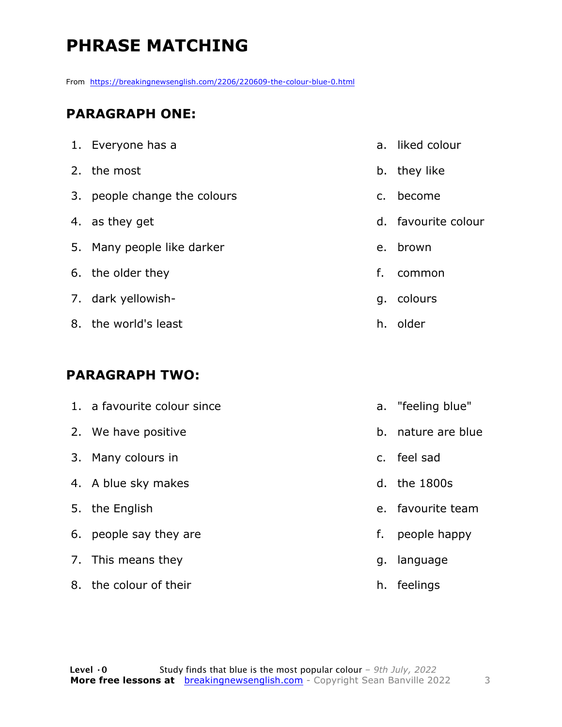# **PHRASE MATCHING**

From https://breakingnewsenglish.com/2206/220609-the-colour-blue-0.html

#### **PARAGRAPH ONE:**

| 1. Everyone has a            |    | a. liked colour     |
|------------------------------|----|---------------------|
| 2. the most                  |    | b. they like        |
| 3. people change the colours |    | c. become           |
| 4. as they get               |    | d. favourite colour |
| 5. Many people like darker   |    | e. brown            |
| 6. the older they            | f. | common              |
| 7. dark yellowish-           |    | g. colours          |
| 8. the world's least         |    | h. older            |

#### **PARAGRAPH TWO:**

| 1. a favourite colour since |                | a. "feeling blue" |
|-----------------------------|----------------|-------------------|
| 2. We have positive         | b.             | nature are blue   |
| 3. Many colours in          | C <sub>1</sub> | feel sad          |
| 4. A blue sky makes         |                | d. the 1800s      |
| 5. the English              |                | e. favourite team |
| 6. people say they are      | f.             | people happy      |
| 7. This means they          | g.             | language          |
| 8. the colour of their      | h.             | feelings          |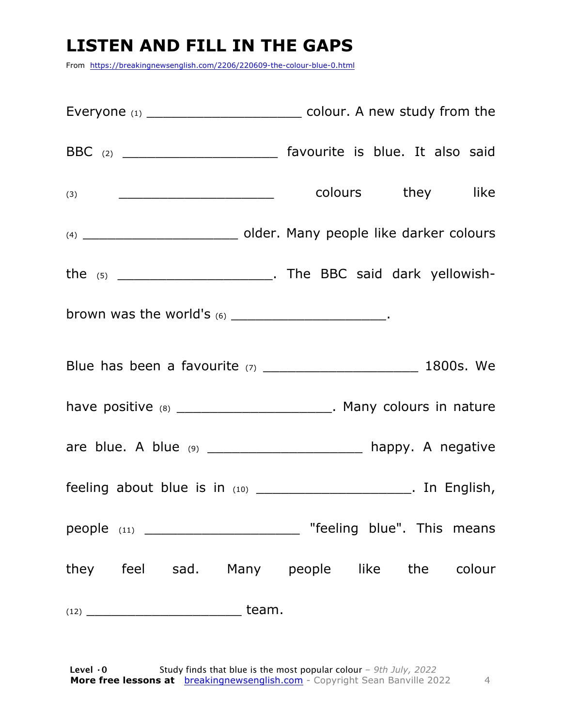# **LISTEN AND FILL IN THE GAPS**

From https://breakingnewsenglish.com/2206/220609-the-colour-blue-0.html

| brown was the world's $(6)$ __________________________. |                                                                       |
|---------------------------------------------------------|-----------------------------------------------------------------------|
|                                                         |                                                                       |
|                                                         | have positive (8) ________________________. Many colours in nature    |
|                                                         | are blue. A blue (9) ______________________ happy. A negative         |
|                                                         | feeling about blue is in $(10)$ ________________________. In English, |
|                                                         |                                                                       |
|                                                         | they feel sad. Many people like the colour                            |
|                                                         |                                                                       |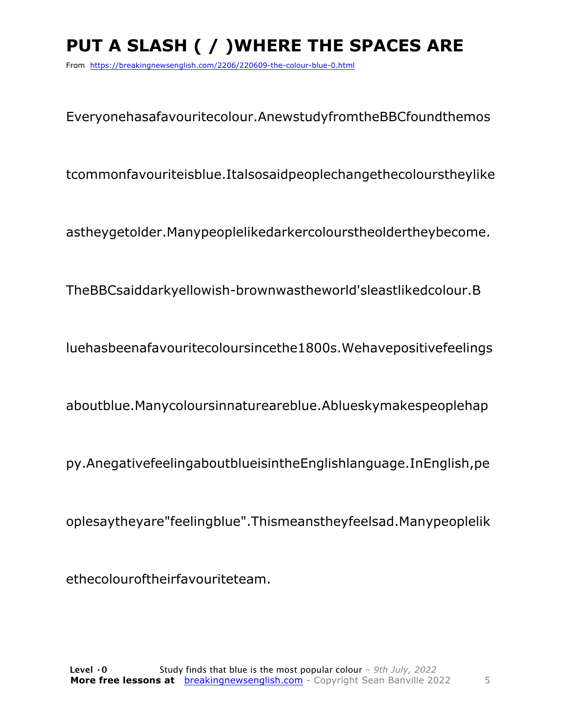# **PUT A SLASH ( / )WHERE THE SPACES ARE**

From https://breakingnewsenglish.com/2206/220609-the-colour-blue-0.html

Everyonehasafavouritecolour.AnewstudyfromtheBBCfoundthemos

tcommonfavouriteisblue.Italsosaidpeoplechangethecolourstheylike

astheygetolder.Manypeoplelikedarkercolourstheoldertheybecome.

TheBBCsaiddarkyellowish-brownwastheworld'sleastlikedcolour.B

luehasbeenafavouritecoloursincethe1800s.Wehavepositivefeelings

aboutblue.Manycoloursinnatureareblue.Ablueskymakespeoplehap

py.AnegativefeelingaboutblueisintheEnglishlanguage.InEnglish,pe

oplesaytheyare"feelingblue".Thismeanstheyfeelsad.Manypeoplelik

ethecolouroftheirfavouriteteam.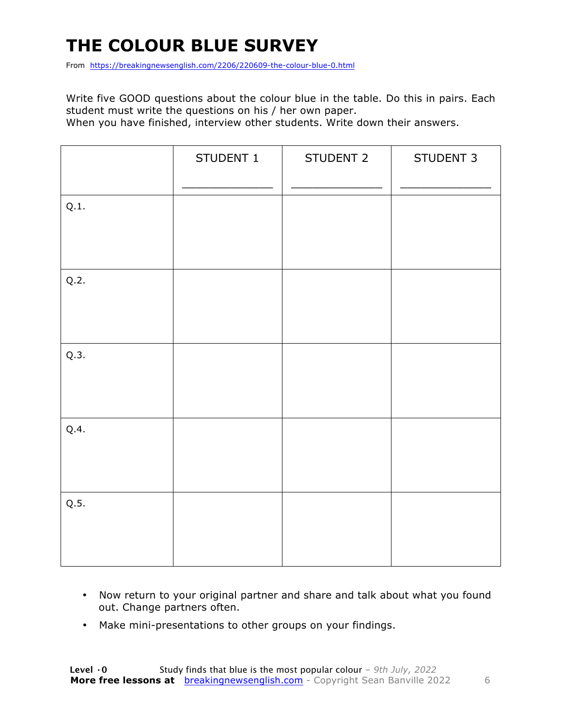# **THE COLOUR BLUE SURVEY**

From https://breakingnewsenglish.com/2206/220609-the-colour-blue-0.html

Write five GOOD questions about the colour blue in the table. Do this in pairs. Each student must write the questions on his / her own paper.

When you have finished, interview other students. Write down their answers.

|      | STUDENT 1 | STUDENT 2 | STUDENT 3 |
|------|-----------|-----------|-----------|
| Q.1. |           |           |           |
| Q.2. |           |           |           |
| Q.3. |           |           |           |
| Q.4. |           |           |           |
| Q.5. |           |           |           |

- Now return to your original partner and share and talk about what you found out. Change partners often.
- Make mini-presentations to other groups on your findings.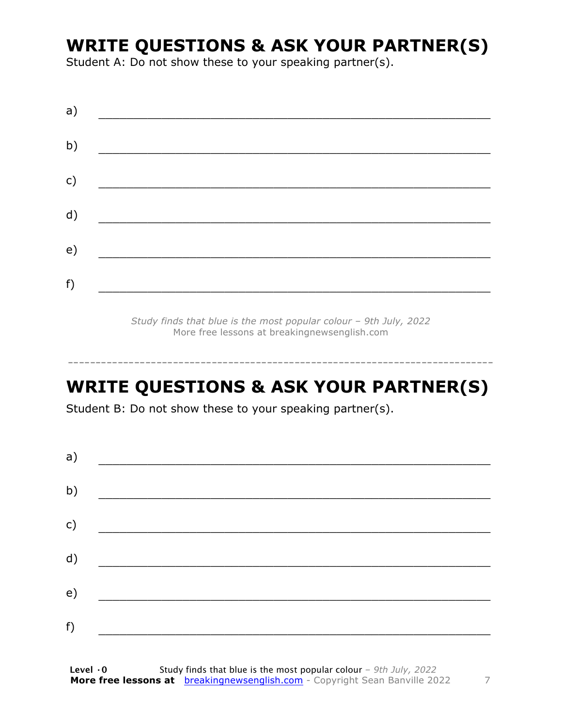### **WRITE QUESTIONS & ASK YOUR PARTNER(S)**

Student A: Do not show these to your speaking partner(s).

| a) |  |  |
|----|--|--|
| b) |  |  |
| c) |  |  |
| d) |  |  |
| e) |  |  |
| f) |  |  |
|    |  |  |

*Study finds that blue is the most popular colour – 9th July, 2022* More free lessons at breakingnewsenglish.com

### **WRITE QUESTIONS & ASK YOUR PARTNER(S)**

-----------------------------------------------------------------------------

Student B: Do not show these to your speaking partner(s).

| a) |  |  |
|----|--|--|
| b) |  |  |
| c) |  |  |
| d) |  |  |
| e) |  |  |
| f) |  |  |
|    |  |  |